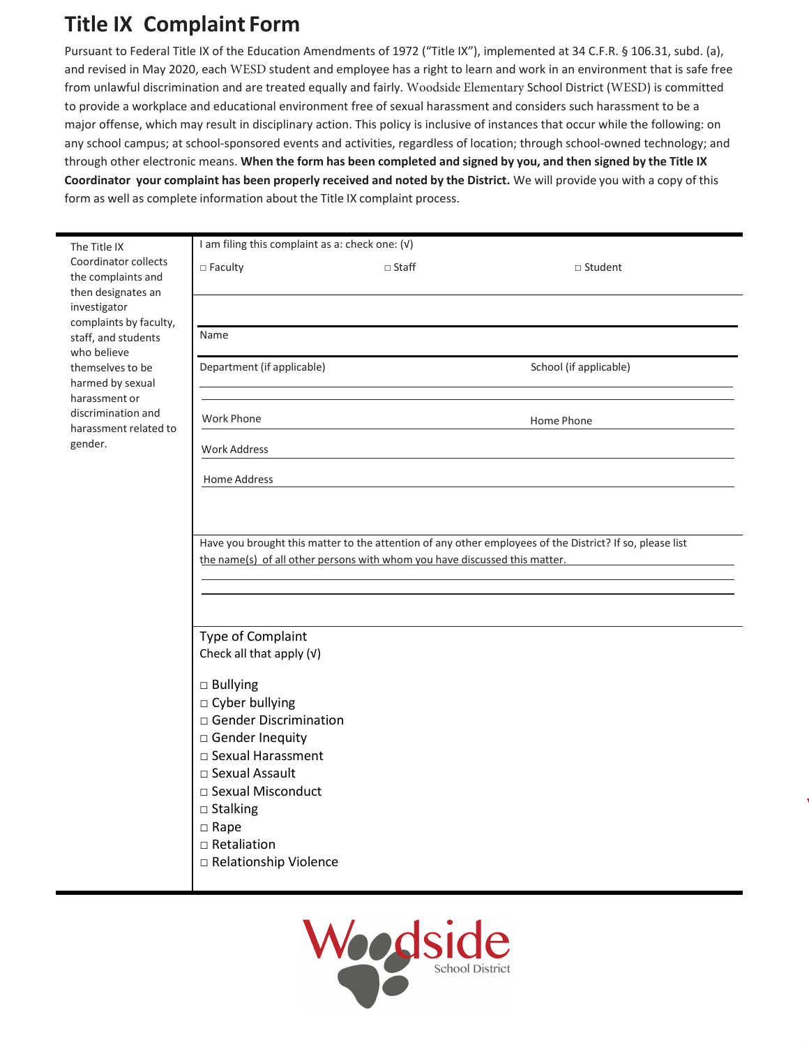## **Title IX Complaint Form**

Pursuant to Federal Title IX of the Education Amendments of 1972 ("Title IX"), implemented at 34 C.F.R. § 106.31, subd. (a), and revised in May 2020, each WESD student and employee has a right to learn and work in an environment that is safe free from unlawful discrimination and are treated equally and fairly. Woodside Elementary School District (WESD) is committed to provide a workplace and educational environment free of sexual harassment and considers such harassment to be a major offense, which may result in disciplinary action. This policy is inclusive of instances that occur while the following: on any school campus; at school-sponsored events and activities, regardless of location; through school-owned technology; and through other electronic means. **When the form has been completed and signed by you, and then signed by the Title IX Coordinator your complaint has been properly received and noted by the District.** We will provide you with a copy of this form as well as complete information about the Title IX complaint process.

| The Title IX<br>Coordinator collects<br>the complaints and<br>then designates an<br>investigator<br>complaints by faculty,<br>staff, and students<br>who believe<br>themselves to be<br>harmed by sexual<br>harassment or<br>discrimination and<br>harassment related to<br>gender. | I am filing this complaint as a: check one: (v)                                                                                                                                                                                                     |              |                        |
|-------------------------------------------------------------------------------------------------------------------------------------------------------------------------------------------------------------------------------------------------------------------------------------|-----------------------------------------------------------------------------------------------------------------------------------------------------------------------------------------------------------------------------------------------------|--------------|------------------------|
|                                                                                                                                                                                                                                                                                     | $\Box$ Faculty                                                                                                                                                                                                                                      | $\Box$ Staff | □ Student              |
|                                                                                                                                                                                                                                                                                     |                                                                                                                                                                                                                                                     |              |                        |
|                                                                                                                                                                                                                                                                                     | Name                                                                                                                                                                                                                                                |              |                        |
|                                                                                                                                                                                                                                                                                     | Department (if applicable)                                                                                                                                                                                                                          |              | School (if applicable) |
|                                                                                                                                                                                                                                                                                     | <b>Work Phone</b>                                                                                                                                                                                                                                   |              | Home Phone             |
|                                                                                                                                                                                                                                                                                     | <b>Work Address</b>                                                                                                                                                                                                                                 |              |                        |
|                                                                                                                                                                                                                                                                                     | Home Address                                                                                                                                                                                                                                        |              |                        |
|                                                                                                                                                                                                                                                                                     | Have you brought this matter to the attention of any other employees of the District? If so, please list<br>the name(s) of all other persons with whom you have discussed this matter.                                                              |              |                        |
|                                                                                                                                                                                                                                                                                     | Type of Complaint<br>Check all that apply (v)                                                                                                                                                                                                       |              |                        |
|                                                                                                                                                                                                                                                                                     | $\Box$ Bullying<br>$\Box$ Cyber bullying<br>□ Gender Discrimination<br>□ Gender Inequity<br>□ Sexual Harassment<br>□ Sexual Assault<br>□ Sexual Misconduct<br>$\square$ Stalking<br>$\Box$ Rape<br>$\square$ Retaliation<br>□ Relationship Violence |              |                        |

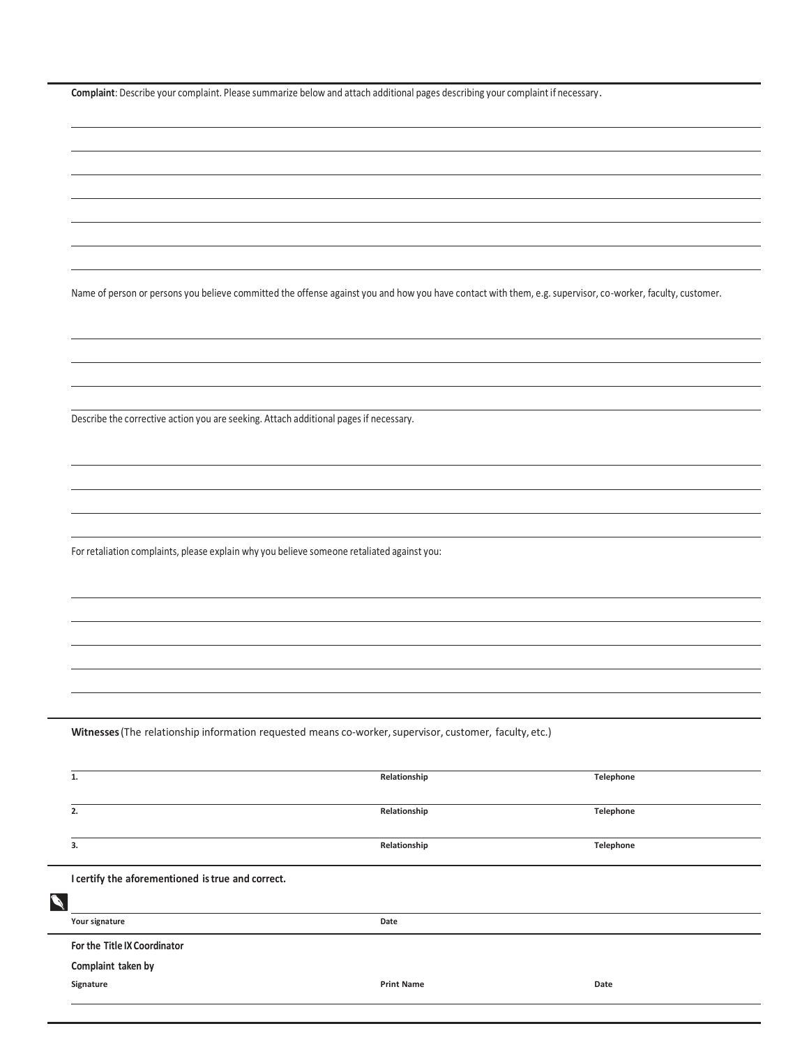**Complaint**: Describe your complaint. Please summarize below and attach additional pages describing your complaint if necessary.

Name of person or persons you believe committed the offense against you and how you have contact with them, e.g. supervisor, co-worker, faculty, customer. Describe the corrective action you are seeking. Attach additional pages if necessary. For retaliation complaints, please explain why you believe someone retaliated against you: **Witnesses**(The relationship information requested means co-worker, supervisor, customer, faculty, etc.) **1. Relationship Telephone 2. Relationship Telephone 3. Relationship Telephone I certify the aforementioned is true and correct.** Ò. **Your signature Date For the Title IX Coordinator Complaint taken by Signature Print Name Date**